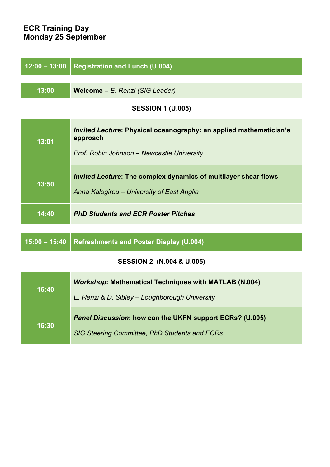## **ECR Training Day Monday 25 September**

| $12:00 - 13:00$                      | <b>Registration and Lunch (U.004)</b>                                                 |  |
|--------------------------------------|---------------------------------------------------------------------------------------|--|
|                                      |                                                                                       |  |
| 13:00                                | Welcome - E. Renzi (SIG Leader)                                                       |  |
| <b>SESSION 1 (U.005)</b>             |                                                                                       |  |
| 13:01                                | <b>Invited Lecture: Physical oceanography: an applied mathematician's</b><br>approach |  |
|                                      | Prof. Robin Johnson - Newcastle University                                            |  |
| 13:50                                | <b>Invited Lecture: The complex dynamics of multilayer shear flows</b>                |  |
|                                      | Anna Kalogirou - University of East Anglia                                            |  |
| 14:40                                | <b>PhD Students and ECR Poster Pitches</b>                                            |  |
| $15:00 - 15:40$                      | <b>Refreshments and Poster Display (U.004)</b>                                        |  |
| <b>SESSION 2 (N.004 &amp; U.005)</b> |                                                                                       |  |
| 15:40                                | <b>Workshop: Mathematical Techniques with MATLAB (N.004)</b>                          |  |
|                                      | E. Renzi & D. Sibley - Loughborough University                                        |  |
| 16:30                                | Panel Discussion: how can the UKFN support ECRs? (U.005)                              |  |
|                                      | SIG Steering Committee, PhD Students and ECRs                                         |  |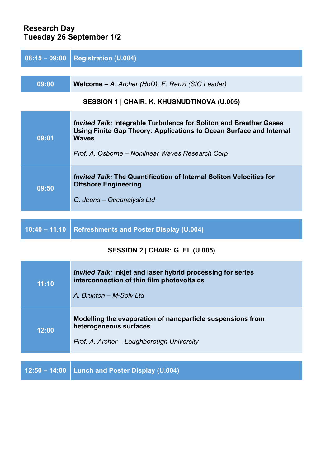### **Research Day Tuesday 26 September 1/2**

| $08:45 - 09:00$                                    | <b>Registration (U.004)</b>                                                                                                                                                                                          |  |
|----------------------------------------------------|----------------------------------------------------------------------------------------------------------------------------------------------------------------------------------------------------------------------|--|
|                                                    |                                                                                                                                                                                                                      |  |
| 09:00                                              | Welcome - A. Archer (HoD), E. Renzi (SIG Leader)                                                                                                                                                                     |  |
| <b>SESSION 1   CHAIR: K. KHUSNUDTINOVA (U.005)</b> |                                                                                                                                                                                                                      |  |
| 09:01                                              | <i>Invited Talk:</i> Integrable Turbulence for Soliton and Breather Gases<br>Using Finite Gap Theory: Applications to Ocean Surface and Internal<br><b>Waves</b><br>Prof. A. Osborne – Nonlinear Waves Research Corp |  |
| 09:50                                              | <i>Invited Talk:</i> The Quantification of Internal Soliton Velocities for<br><b>Offshore Engineering</b><br>G. Jeans – Oceanalysis Ltd                                                                              |  |
|                                                    |                                                                                                                                                                                                                      |  |

# **10:40 – 11.10 Refreshments and Poster Display (U.004)**

## **SESSION 2 | CHAIR: G. EL (U.005)**

| 11:10 | <i>Invited Talk:</i> Inkjet and laser hybrid processing for series<br>interconnection of thin film photovoltaics<br>A. Brunton - M-Solv Ltd |
|-------|---------------------------------------------------------------------------------------------------------------------------------------------|
| 12:00 | Modelling the evaporation of nanoparticle suspensions from<br>heterogeneous surfaces<br>Prof. A. Archer – Loughborough University           |
|       |                                                                                                                                             |
|       | 12:50 – 14:00   Lunch and Poster Display (U.004)                                                                                            |